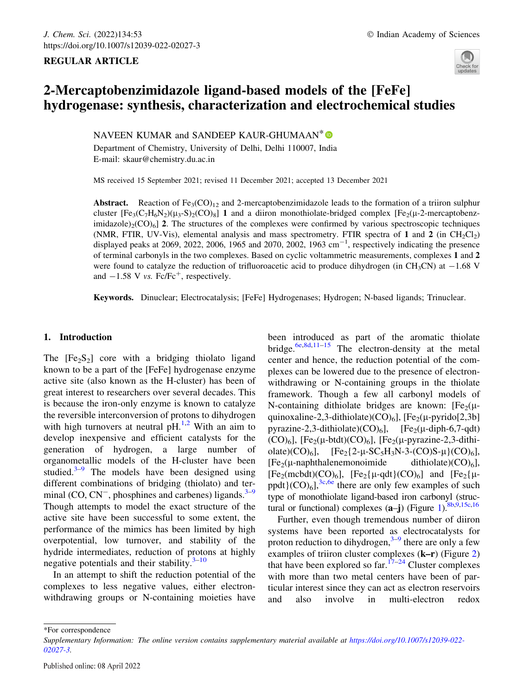# REGULAR ARTICLE



# 2-Mercaptobenzimidazole ligand-based models of the [FeFe] hydrogenase: synthesis, characterization and electrochemical studies

NAVEEN KUMAR and SANDEEP KAUR-GHUMAAN<sup>\*</sup> Department of Chemistry, University of Delhi, Delhi 110007, India E-mail: skaur@chemistry.du.ac.in

MS received 15 September 2021; revised 11 December 2021; accepted 13 December 2021

Abstract. Reaction of  $Fe<sub>3</sub>(CO)<sub>12</sub>$  and 2-mercaptobenzimidazole leads to the formation of a triiron sulphur cluster  $[Fe_3(C_7H_6N_2)(\mu_3-S)_2(CO)_8]$  1 and a diiron monothiolate-bridged complex  $[Fe_3(\mu_3-Fe_2)(\mu_3-S)_2(CO)_8]$  1 and a diiron monothiolate-bridged complex  $[Fe_3(\mu_3-Fe_2)(\mu_3-S)_2(CO)_8]$ imidazole) $_2$ (CO)<sub>6</sub>] 2. The structures of the complexes were confirmed by various spectroscopic techniques (NMR, FTIR, UV-Vis), elemental analysis and mass spectrometry. FTIR spectra of 1 and 2 (in CH<sub>2</sub>Cl<sub>2</sub>) displayed peaks at 2069, 2022, 2006, 1965 and 2070, 2002, 1963  $cm^{-1}$ , respectively indicating the presence of terminal carbonyls in the two complexes. Based on cyclic voltammetric measurements, complexes 1 and 2 were found to catalyze the reduction of trifluoroacetic acid to produce dihydrogen (in CH<sub>3</sub>CN) at  $-1.68$  V and  $-1.58$  V vs. Fc/Fc<sup>+</sup>, respectively.

Keywords. Dinuclear; Electrocatalysis; [FeFe] Hydrogenases; Hydrogen; N-based ligands; Trinuclear.

# 1. Introduction

The  $[Fe<sub>2</sub>S<sub>2</sub>]$  core with a bridging thiolato ligand known to be a part of the [FeFe] hydrogenase enzyme active site (also known as the H-cluster) has been of great interest to researchers over several decades. This is because the iron-only enzyme is known to catalyze the reversible interconversion of protons to dihydrogen with high turnovers at neutral  $pH<sup>1,2</sup>$  With an aim to develop inexpensive and efficient catalysts for the generation of hydrogen, a large number of organometallic models of the H-cluster have been studied. $3-9$  The models have been designed using different combinations of bridging (thiolato) and terminal  $(CO, CN^-$ , phosphines and carbenes) ligands.<sup>3–9</sup> Though attempts to model the exact structure of the active site have been successful to some extent, the performance of the mimics has been limited by high overpotential, low turnover, and stability of the hydride intermediates, reduction of protons at highly negative potentials and their stability. $3-10$ 

In an attempt to shift the reduction potential of the complexes to less negative values, either electronwithdrawing groups or N-containing moieties have been introduced as part of the aromatic thiolate bridge.<sup>6e,8d,11–15</sup> The electron-density at the metal center and hence, the reduction potential of the complexes can be lowered due to the presence of electronwithdrawing or N-containing groups in the thiolate framework. Though a few all carbonyl models of N-containing dithiolate bridges are known:  $[Fe<sub>2</sub>(\mu$ quinoxaline-2,3-dithiolate)(CO)<sub>6</sub>], [Fe<sub>2</sub>( $\mu$ -pyrido[2,3b] pyrazine-2,3-dithiolate)(CO)<sub>6</sub>], [Fe<sub>2</sub>(u-diph-6,7-qdt)]  $(CO)_6$ ], [Fe<sub>2</sub>( $\mu$ -btdt) $(CO)_6$ ], [Fe<sub>2</sub>( $\mu$ -pyrazine-2,3-dithiolate)(CO)<sub>6</sub>],  $[Fe_2{2-\mu-SC_5H_3N-3-(CO)S-\mu}(CO)_6]$ ,<br> $[Fe_2{(\mu-naphthalenemonoimide}$  dithiolate)(CO)<sub>6</sub>],  $[Fe_2(\mu-naphthalenemonoimide]$  dithiolate)(CO)<sub>6</sub>],<br> $[Fe_2(\mu-napht)(CO)_c]$ ,  $[Fe_2(\mu-neth)(CO)_c]$  and  $[Fe_2(\mu-neth)(CO)_c]$  $[Fe_2(\text{mcbdt})(CO)_6]$ ,  $[Fe_2(\mu-qdt)(CO)_6]$  and  $[Fe_2(\mu-qdt)(CO)_6]$ <sup>3c,6e</sup> there are only few examples of such ppdt $(CO)_{6}$ ],<sup>3c,6e</sup> there are only few examples of such type of monothiolate ligand-based iron carbonyl (structural or functional) complexes  $(a-j)$  (Figure 1).  $8b,9,15c,16$ 

Further, even though tremendous number of diiron systems have been reported as electrocatalysts for proton reduction to dihydrogen, $3-9$  there are only a few examples of triiron cluster complexes (k–r) (Figure 2) that have been explored so  $far$ .<sup>17–24</sup> Cluster complexes with more than two metal centers have been of particular interest since they can act as electron reservoirs and also involve in multi-electron redox

\*For correspondence

Supplementary Information: The online version contains supplementary material available at https://doi.org/10.1007/s12039-022- 02027-3.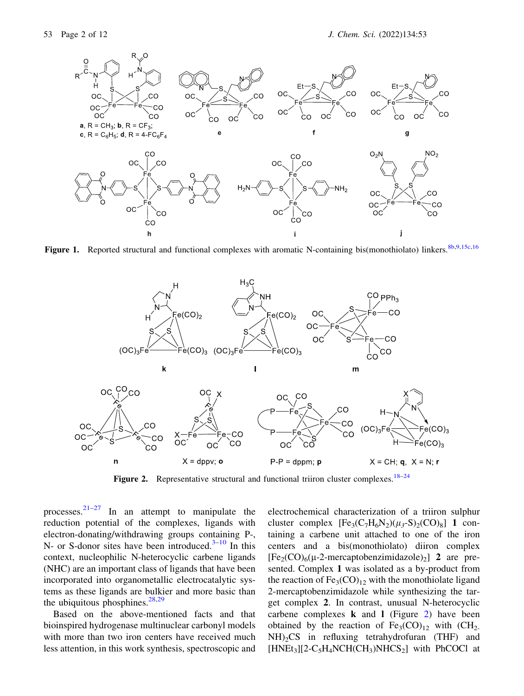

Figure 1. Reported structural and functional complexes with aromatic N-containing bis(monothiolato) linkers.<sup>8b,9,15c,16</sup>



**Figure 2.** Representative structural and functional triiron cluster complexes.<sup>18–24</sup>

processes. $2^{1-27}$  In an attempt to manipulate the reduction potential of the complexes, ligands with electron-donating/withdrawing groups containing P-, N- or S-donor sites have been introduced. $3-10$  In this context, nucleophilic N-heterocyclic carbene ligands (NHC) are an important class of ligands that have been incorporated into organometallic electrocatalytic systems as these ligands are bulkier and more basic than the ubiquitous phosphines. $28,29$ 

Based on the above-mentioned facts and that bioinspired hydrogenase multinuclear carbonyl models with more than two iron centers have received much less attention, in this work synthesis, spectroscopic and electrochemical characterization of a triiron sulphur cluster complex  $[Fe<sub>3</sub>(C<sub>7</sub>H<sub>6</sub>N<sub>2</sub>)(\mu<sub>3</sub>-S)<sub>2</sub>(CO)<sub>8</sub>]$  1 containing a carbene unit attached to one of the iron centers and a bis(monothiolato) diiron complex  $[Fe<sub>2</sub>(CO)<sub>6</sub>(\mu-2-mercaptobenzimidazole)<sub>2</sub>]$  2 are presented. Complex 1 was isolated as a by-product from the reaction of  $Fe<sub>3</sub>(CO)<sub>12</sub>$  with the monothiolate ligand 2-mercaptobenzimidazole while synthesizing the target complex 2. In contrast, unusual N-heterocyclic carbene complexes  $k$  and  $l$  (Figure 2) have been obtained by the reaction of  $Fe<sub>3</sub>(CO)<sub>12</sub>$  with  $(CH<sub>2</sub>)$  $NH<sub>2</sub>CS$  in refluxing tetrahydrofuran (THF) and  $[HNEt_3][2-C_5H_4NCH(CH_3)NHCS_2]$  with PhCOCl at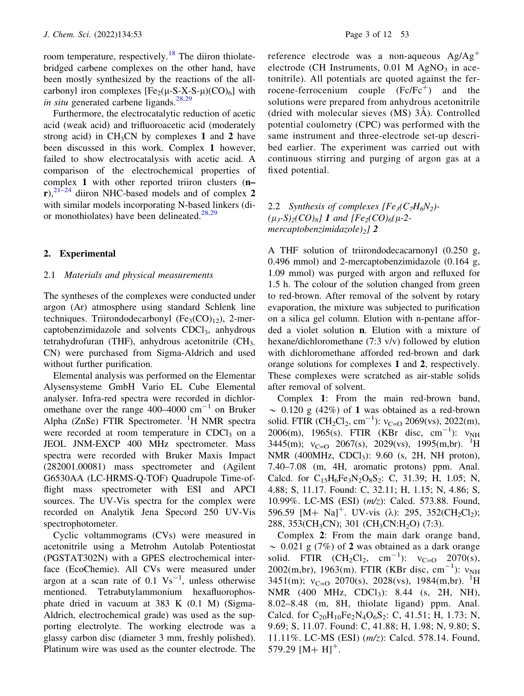room temperature, respectively.<sup>18</sup> The diiron thiolatebridged carbene complexes on the other hand, have been mostly synthesized by the reactions of the allcarbonyl iron complexes  $[Fe_2(\mu-S-X-S-\mu)(CO)_6]$  with in situ generated carbene ligands.<sup>28,29</sup>

Furthermore, the electrocatalytic reduction of acetic acid (weak acid) and trifluoroacetic acid (moderately strong acid) in  $CH_3CN$  by complexes 1 and 2 have been discussed in this work. Complex 1 however, failed to show electrocatalysis with acetic acid. A comparison of the electrochemical properties of complex 1 with other reported triiron clusters (n–  $r$ ),<sup>21–24</sup> diiron NHC-based models and of complex 2 with similar models incorporating N-based linkers (dior monothiolates) have been delineated. $28,29$ 

## 2. Experimental

## 2.1 Materials and physical measurements

The syntheses of the complexes were conducted under argon (Ar) atmosphere using standard Schlenk line techniques. Triirondodecarbonyl  $(Fe<sub>3</sub>(CO)<sub>12</sub>)$ , 2-mercaptobenzimidazole and solvents CDCl<sub>3</sub>, anhydrous tetrahydrofuran (THF), anhydrous acetonitrile  $CH<sub>3</sub>$ CN) were purchased from Sigma-Aldrich and used without further purification.

Elemental analysis was performed on the Elementar Alysensysteme GmbH Vario EL Cube Elemental analyser. Infra-red spectra were recorded in dichloromethane over the range  $400-4000$  cm<sup>-1</sup> on Bruker Alpha (ZnSe) FTIR Spectrometer. <sup>1</sup>H NMR spectra were recorded at room temperature in  $CDCl<sub>3</sub>$  on a JEOL JNM-EXCP 400 MHz spectrometer. Mass spectra were recorded with Bruker Maxis Impact (282001.00081) mass spectrometer and (Agilent G6530AA (LC-HRMS-Q-TOF) Quadrupole Time-offlight mass spectrometer with ESI and APCI sources. The UV-Vis spectra for the complex were recorded on Analytik Jena Specord 250 UV-Vis spectrophotometer.

Cyclic voltammograms (CVs) were measured in acetonitrile using a Metrohm Autolab Potentiostat (PGSTAT302N) with a GPES electrochemical interface (EcoChemie). All CVs were measured under argon at a scan rate of  $0.1 \text{ Vs}^{-1}$ , unless otherwise mentioned. Tetrabutylammonium hexafluorophosphate dried in vacuum at 383 K (0.1 M) (Sigma-Aldrich, electrochemical grade) was used as the supporting electrolyte. The working electrode was a glassy carbon disc (diameter 3 mm, freshly polished). Platinum wire was used as the counter electrode. The reference electrode was a non-aqueous  $Ag/Ag^+$ electrode (CH Instruments,  $0.01$  M AgNO<sub>3</sub> in acetonitrile). All potentials are quoted against the ferrocene-ferrocenium couple  $(Fc/Fc^+)$  and the solutions were prepared from anhydrous acetonitrile (dried with molecular sieves  $(MS)$   $3\text{\AA}$ ). Controlled potential coulometry (CPC) was performed with the same instrument and three-electrode set-up described earlier. The experiment was carried out with continuous stirring and purging of argon gas at a fixed potential.

2.2 Synthesis of complexes  $[Fe_3(C_7H_6N_2) (\mu_3-S)_2(CO)_8$ ] 1 and [Fe<sub>2</sub>(CO)<sub>6</sub>( $\mu$ -2mercaptobenzimidazole) $_2$ ] 2

A THF solution of triirondodecacarnonyl (0.250 g, 0.496 mmol) and 2-mercaptobenzimidazole (0.164 g, 1.09 mmol) was purged with argon and refluxed for 1.5 h. The colour of the solution changed from green to red-brown. After removal of the solvent by rotary evaporation, the mixture was subjected to purification on a silica gel column. Elution with n-pentane afforded a violet solution n. Elution with a mixture of hexane/dichloromethane (7:3 v/v) followed by elution with dichloromethane afforded red-brown and dark orange solutions for complexes 1 and 2, respectively. These complexes were scratched as air-stable solids after removal of solvent.

Complex 1: From the main red-brown band,  $\sim$  0.120 g (42%) of 1 was obtained as a red-brown solid. FTIR  $(CH_2Cl_2, cm^{-1})$ :  $v_{C=0}$  2069(vs), 2022(m),<br>2006(m) 1965(s) FTIR (KBr disc. cm<sup>-1</sup>):  $v_{\text{N}}$ 2006(m), 1965(s). FTIR (KBr disc, cm<sup>-1</sup>):  $v_{NH}$ <br>3445(m):  $v_{S,0} = 2067(s) - 2029(ys) - 1995(m \text{ hr})$ <sup>1</sup>H 3445(m);  $v_{C=0}$  2067(s), 2029(vs), 1995(m,br). <sup>1</sup>H<br>NMR (400MHz CDCL): 9.60 (s. 2H NH proton) NMR (400MHz, CDCl<sub>3</sub>): 9.60 (s, 2H, NH proton), 7.40–7.08 (m, 4H, aromatic protons) ppm. Anal. Calcd. for  $C_{15}H_6Fe_3N_2O_8S_2$ : C, 31.39; H, 1.05; N, 4.88; S, 11.17. Found: C, 32.11; H, 1.15; N, 4.86; S, 10.99%. LC-MS (ESI) (m/z): Calcd. 573.88. Found, 596.59  $[M+Na]^+$ . UV-vis ( $\lambda$ ): 295, 352(CH<sub>2</sub>Cl<sub>2</sub>); 288, 353(CH<sub>3</sub>CN); 301 (CH<sub>3</sub>CN:H<sub>2</sub>O) (7:3).

Complex 2: From the main dark orange band,  $\sim$  0.021 g (7%) of 2 was obtained as a dark orange solid. FTIR  $(CH_2Cl_2, \text{ cm}^{-1})$ :  $v_{C=0}$  2070(s),<br>2002(m br) 1963(m) FTIR (KBr disc cm<sup>-1</sup>):  $v_{\text{cm}}$ 2002(m,br), 1963(m). FTIR (KBr disc, cm<sup>-1</sup>):  $v_{NH}$ <br>3451(m):  $v_{S,0} = 2070(s) - 2028(sys) - 1984(m \text{ hr})^{-1}$  $3451(m)$ ;  $v_{C=0}$  2070(s), 2028(vs), 1984(m,br). <sup>1</sup>H<br>NMR (400 MHz CDCL): 8.44 (s. 2H NH) NMR (400 MHz, CDCl<sub>3</sub>): 8.44 (s, 2H, NH), 8.02–8.48 (m, 8H, thiolate ligand) ppm. Anal. Calcd. for  $C_{20}H_{10}Fe_2N_4O_6S_2$ : C, 41.51; H, 1.73; N, 9.69; S, 11.07. Found: C, 41.88; H, 1.98; N, 9.80; S, 11.11%. LC-MS (ESI) (m/z): Calcd. 578.14. Found, 579.29  $[M+ H]$ <sup>+</sup>.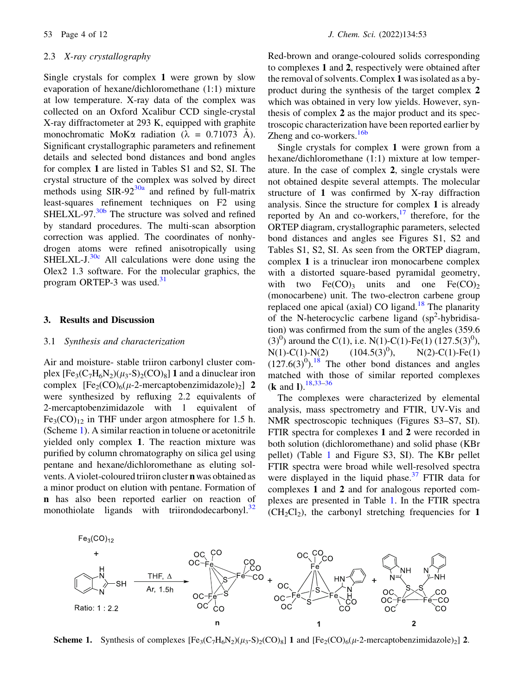#### 2.3 X-ray crystallography

Single crystals for complex 1 were grown by slow evaporation of hexane/dichloromethane (1:1) mixture at low temperature. X-ray data of the complex was collected on an Oxford Xcalibur CCD single-crystal X-ray diffractometer at 293 K, equipped with graphite monochromatic MoK $\alpha$  radiation ( $\lambda = 0.71073$  Å). Significant crystallographic parameters and refinement details and selected bond distances and bond angles for complex 1 are listed in Tables S1 and S2, SI. The crystal structure of the complex was solved by direct methods using  $SIR-92^{30a}$  and refined by full-matrix least-squares refinement techniques on F2 using  $SHELXL-97.<sup>30b</sup>$  The structure was solved and refined by standard procedures. The multi-scan absorption correction was applied. The coordinates of nonhydrogen atoms were refined anisotropically using  $SHELXL-J.<sup>30c</sup>$  All calculations were done using the Olex2 1.3 software. For the molecular graphics, the program ORTEP-3 was used.<sup>31</sup>

#### 3. Results and Discussion

## 3.1 Synthesis and characterization

Air and moisture- stable triiron carbonyl cluster complex  $[Fe<sub>3</sub>(C<sub>7</sub>H<sub>6</sub>N<sub>2</sub>)(\mu<sub>3</sub>-S)<sub>2</sub>(CO)<sub>8</sub>]$  1 and a dinuclear iron complex  $[Fe_2(CO)_6(\mu-2\text{-}mercaptobenzimidazole)_2]$  2 were synthesized by refluxing 2.2 equivalents of 2-mercaptobenzimidazole with 1 equivalent of  $Fe<sub>3</sub>(CO)<sub>12</sub>$  in THF under argon atmosphere for 1.5 h. (Scheme 1). A similar reaction in toluene or acetonitrile yielded only complex 1. The reaction mixture was purified by column chromatography on silica gel using pentane and hexane/dichloromethane as eluting solvents. A violet-coloured triiron cluster n was obtained as a minor product on elution with pentane. Formation of n has also been reported earlier on reaction of monothiolate ligands with triirondodecarbonyl.<sup>32</sup> Red-brown and orange-coloured solids corresponding to complexes 1 and 2, respectively were obtained after the removal of solvents. Complex 1 was isolated as a byproduct during the synthesis of the target complex 2 which was obtained in very low yields. However, synthesis of complex 2 as the major product and its spectroscopic characterization have been reported earlier by Zheng and co-workers.<sup>16b</sup>

Single crystals for complex 1 were grown from a hexane/dichloromethane (1:1) mixture at low temperature. In the case of complex 2, single crystals were not obtained despite several attempts. The molecular structure of 1 was confirmed by X-ray diffraction analysis. Since the structure for complex 1 is already reported by An and co-workers, $17$  therefore, for the ORTEP diagram, crystallographic parameters, selected bond distances and angles see Figures S1, S2 and Tables S1, S2, SI. As seen from the ORTEP diagram, complex 1 is a trinuclear iron monocarbene complex with a distorted square-based pyramidal geometry, with two  $Fe(CO)$ <sub>3</sub> units and one  $Fe(CO)$ <sub>2</sub> (monocarbene) unit. The two-electron carbene group replaced one apical (axial) CO ligand.<sup>18</sup> The planarity of the N-heterocyclic carbene ligand (sp<sup>2</sup>-hybridisation) was confirmed from the sum of the angles (359.6 (3)<sup>0</sup>) around the C(1), i.e. N(1)-C(1)-Fe(1) (127.5(3)<sup>0</sup>),  $N(1)-C(1)-N(2)$  (104.5(3)<sup>0</sup>),  $N(2)$ -C(1)-Fe(1)  $(127.6(3)^{0})$ .<sup>18</sup> The other bond distances and angles matched with those of similar reported complexes (**k** and **l**).  $18,33-36$ 

The complexes were characterized by elemental analysis, mass spectrometry and FTIR, UV-Vis and NMR spectroscopic techniques (Figures S3–S7, SI). FTIR spectra for complexes 1 and 2 were recorded in both solution (dichloromethane) and solid phase (KBr pellet) (Table 1 and Figure S3, SI). The KBr pellet FTIR spectra were broad while well-resolved spectra were displayed in the liquid phase.<sup>37</sup> FTIR data for complexes 1 and 2 and for analogous reported complexes are presented in Table 1. In the FTIR spectra  $(CH_2Cl_2)$ , the carbonyl stretching frequencies for 1



**Scheme 1.** Synthesis of complexes  $[Fe_3(C_7H_6N_2)(\mu_3-S)_2(CO)_8]$  1 and  $[Fe_2(CO)_6(\mu_3S)_2(\mu_3-S)_2(CO)_8]$  1. and  $[Fe_2(CO)_6(\mu_3S)_2(\mu_3S)_2]$  2.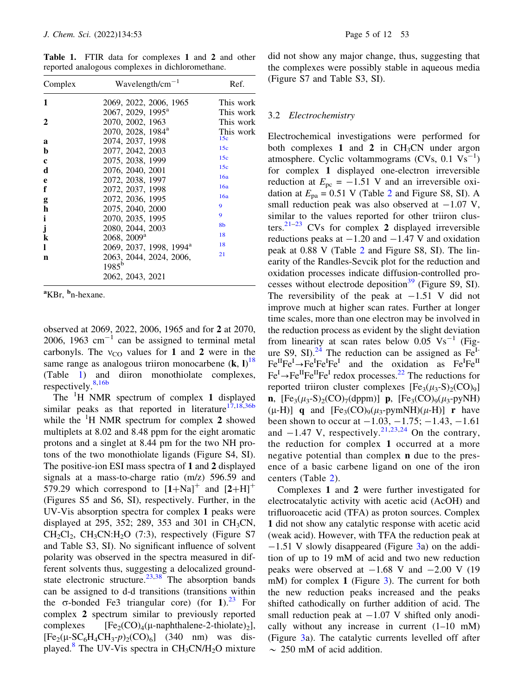Table 1. FTIR data for complexes 1 and 2 and other reported analogous complexes in dichloromethane.

| Complex      | Wavelength/cm <sup><math>-1</math></sup> | Ref.           |  |  |  |  |
|--------------|------------------------------------------|----------------|--|--|--|--|
| 1            | 2069, 2022, 2006, 1965                   | This work      |  |  |  |  |
|              | 2067, 2029, 1995 <sup>a</sup>            | This work      |  |  |  |  |
| $\mathbf{2}$ | 2070, 2002, 1963                         | This work      |  |  |  |  |
|              | 2070, 2028, 1984 <sup>a</sup>            | This work      |  |  |  |  |
| a            | 2074, 2037, 1998                         | 15c            |  |  |  |  |
| b            | 2077, 2042, 2003                         | 15c            |  |  |  |  |
| $\mathbf c$  | 2075, 2038, 1999                         | 15c            |  |  |  |  |
| d            | 2076, 2040, 2001                         | 15c            |  |  |  |  |
| e            | 2072, 2038, 1997                         | 16a            |  |  |  |  |
| f            | 2072, 2037, 1998                         | 16a            |  |  |  |  |
| g            | 2072, 2036, 1995                         | 16a            |  |  |  |  |
| h            | 2075, 2040, 2000                         | 9              |  |  |  |  |
| i            | 2070, 2035, 1995                         | 9              |  |  |  |  |
| j            | 2080, 2044, 2003                         | 8 <sub>b</sub> |  |  |  |  |
| k            | $2068, 2009^a$                           | 18             |  |  |  |  |
| L            | 2069, 2037, 1998, 1994 <sup>a</sup>      | 18             |  |  |  |  |
| n            | 2063, 2044, 2024, 2006,<br>$1985^{b}$    | 21             |  |  |  |  |
|              | 2062, 2043, 2021                         |                |  |  |  |  |

<sup>a</sup>KBr, <sup>b</sup>n-hexane.

observed at 2069, 2022, 2006, 1965 and for 2 at 2070, 2006, 1963  $cm^{-1}$  can be assigned to terminal metal carbonyls. The  $v_{\text{CO}}$  values for 1 and 2 were in the same range as analogous triiron monocarbene  $(k, l)^{18}$ (Table 1) and diiron monothiolate complexes, respectively.<sup>8,16b</sup>

The  ${}^{1}H$  NMR spectrum of complex 1 displayed similar peaks as that reported in literature $17,18,36b$ while the <sup>1</sup>H NMR spectrum for complex 2 showed multiplets at 8.02 and 8.48 ppm for the eight aromatic protons and a singlet at 8.44 pm for the two NH protons of the two monothiolate ligands (Figure S4, SI). The positive-ion ESI mass spectra of 1 and 2 displayed signals at a mass-to-charge ratio (m/z) 596.59 and 579.29 which correspond to  $[1+Na]^+$  and  $[2+H]^+$ (Figures S5 and S6, SI), respectively. Further, in the UV-Vis absorption spectra for complex 1 peaks were displayed at 295, 352; 289, 353 and 301 in CH<sub>3</sub>CN,  $CH_2Cl_2$ ,  $CH_3CN:H_2O$  (7:3), respectively (Figure S7) and Table S3, SI). No significant influence of solvent polarity was observed in the spectra measured in different solvents thus, suggesting a delocalized groundstate electronic structure.<sup>23,38</sup> The absorption bands can be assigned to d-d transitions (transitions within the  $\sigma$ -bonded Fe3 triangular core) (for 1).<sup>23</sup> For complex 2 spectrum similar to previously reported complexes  $[Fe_2(CO)_4(\mu-naphthalene-2-thiolate)_2],$ <br> $[Fe_2(U-SC-H.CH-n)_2(CO)_2]$  (340 nm) was dis- $[Fe_2(\mu-SC_6H_4CH_3-p)_2(CO)_6]$  (340 nm) was dis-<br>played <sup>8</sup> The LIV-Vis spectra in CH-CN/H-O mixture played.<sup>8</sup> The UV-Vis spectra in  $CH_3CN/H_2O$  mixture did not show any major change, thus, suggesting that the complexes were possibly stable in aqueous media (Figure S7 and Table S3, SI).

#### 3.2 Electrochemistry

Electrochemical investigations were performed for both complexes 1 and 2 in  $CH<sub>3</sub>CN$  under argon atmosphere. Cyclic voltammograms  $(CVs, 0.1 Vs^{-1})$ for complex 1 displayed one-electron irreversible reduction at  $E_{\text{pc}} = -1.51$  V and an irreversible oxidation at  $E_{pa} = 0.51$  V (Table 2 and Figure S8, SI). A small reduction peak was also observed at  $-1.07$  V, similar to the values reported for other triiron clusters.<sup>21–23</sup> CVs for complex 2 displayed irreversible reductions peaks at  $-1.20$  and  $-1.47$  V and oxidation peak at 0.88 V (Table 2 and Figure S8, SI). The linearity of the Randles-Sevcik plot for the reduction and oxidation processes indicate diffusion-controlled processes without electrode deposition<sup>39</sup> (Figure S9, SI). The reversibility of the peak at  $-1.51$  V did not improve much at higher scan rates. Further at longer time scales, more than one electron may be involved in the reduction process as evident by the slight deviation from linearity at scan rates below 0.05  $\text{Vs}^{-1}$  (Figure S9, SI).<sup>24</sup> The reduction can be assigned as  $Fe<sup>I</sup>$  $Fe^{II}Fe^{I} \rightarrow Fe^{I}Fe^{I}Fe^{I}$  and the oxidation as  $Fe^{I}Fe^{II}$  $\text{Fe}^{\text{I}} \rightarrow \text{Fe}^{\text{II}} \text{Fe}^{\text{I}}$  redox processes.<sup>22</sup> The reductions for reported triiron cluster complexes  $[Fe<sub>3</sub>(\mu<sub>3</sub>-S)<sub>2</sub>(CO)<sub>9</sub>]$ **n**,  $[Fe_3(\mu_3-S)_2(CO)_7(dppm)]$  **p**,  $[Fe_3(CO)_9(\mu_3-pyNH)]$  $(\mu$ -H)] **q** and  $[Fe_3(CO)_9(\mu_3$ -pymNH)( $\mu$ -H)] **r** have been shown to occur at  $-1.03, -1.75; -1.43, -1.61$ and  $-1.47$  V, respectively.<sup>21,23,24</sup> On the contrary, the reduction for complex 1 occurred at a more negative potential than complex n due to the presence of a basic carbene ligand on one of the iron centers (Table 2).

Complexes 1 and 2 were further investigated for electrocatalytic activity with acetic acid (AcOH) and trifluoroacetic acid (TFA) as proton sources. Complex 1 did not show any catalytic response with acetic acid (weak acid). However, with TFA the reduction peak at  $-1.51$  V slowly disappeared (Figure 3a) on the addition of up to 19 mM of acid and two new reduction peaks were observed at  $-1.68$  V and  $-2.00$  V (19 mM) for complex 1 (Figure 3). The current for both the new reduction peaks increased and the peaks shifted cathodically on further addition of acid. The small reduction peak at  $-1.07$  V shifted only anodically without any increase in current  $(1-10 \text{ mM})$ (Figure 3a). The catalytic currents levelled off after  $\sim$  250 mM of acid addition.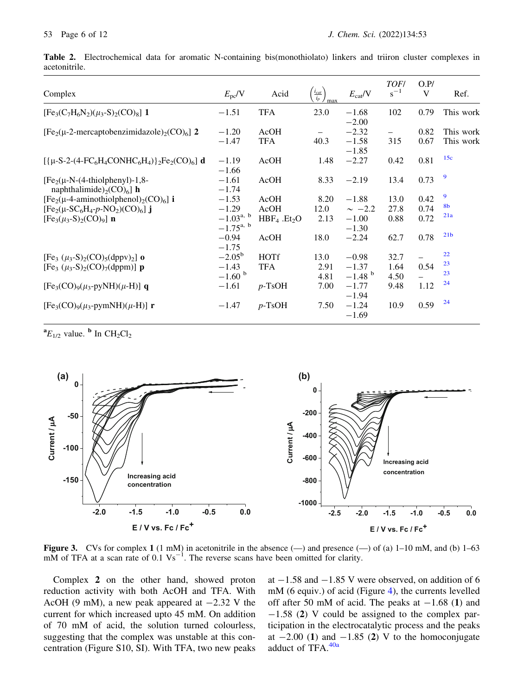|               |  |  | Table 2. Electrochemical data for aromatic N-containing bis(monothiolato) linkers and triiron cluster complexes in |  |  |  |
|---------------|--|--|--------------------------------------------------------------------------------------------------------------------|--|--|--|
| acetonitrile. |  |  |                                                                                                                    |  |  |  |

| Complex                                                                                     | $E_{\rm pc}/V$                   | Acid               | $\frac{i_{cat}}{i_p}$<br>max | $E_{\text{cat}}/V$            | <b>TOF/</b><br>$s^{-1}$ | O.P/<br>V    | Ref.                   |
|---------------------------------------------------------------------------------------------|----------------------------------|--------------------|------------------------------|-------------------------------|-------------------------|--------------|------------------------|
| $[Fe3(C7H6N2)(\mu3-S)2(CO)8]$ 1                                                             | $-1.51$                          | <b>TFA</b>         | 23.0                         | $-1.68$<br>$-2.00$            | 102                     | 0.79         | This work              |
| $[Fe2(\mu-2-mercaptobenzimidazole)2(CO)6]$ 2                                                | $-1.20$<br>$-1.47$               | AcOH<br><b>TFA</b> | $\qquad \qquad -$<br>40.3    | $-2.32$<br>$-1.58$<br>$-1.85$ | 315                     | 0.82<br>0.67 | This work<br>This work |
| $[{ {\mu-S-2-(4-FC_6H_4CONHC_6H_4)} }_2Fe_2(CO)_6]$ d                                       | $-1.19$<br>$-1.66$               | AcOH               | 1.48                         | $-2.27$                       | 0.42                    | 0.81         | 15c                    |
| $[Fe2(\mu-N-(4-thiolphenyl)-1,8-$<br>naphthalimide) <sub>2</sub> (CO) <sub>6</sub> ] h      | $-1.61$<br>$-1.74$               | AcOH               | 8.33                         | $-2.19$                       | 13.4                    | 0.73         | 9                      |
| $[Fe2(\mu-4-aminothiolphenol)2(CO)6]$ i                                                     | $-1.53$                          | AcOH               | 8.20                         | $-1.88$                       | 13.0                    | 0.42         | 9                      |
| $[Fe_2(\mu-SC_6H_4-p-NO_2)(CO)_6]$ j                                                        | $-1.29$                          | AcOH               | 12.0                         | $\sim -2.2$                   | 27.8                    | 0.74         | 8 <sub>b</sub>         |
| $[Fe3(\mu3-S)2(CO)9]$ n                                                                     | $-1.03^{a, b}$<br>$-1.75^{a, b}$ | $HBF_4$ . $Et_2O$  | 2.13                         | $-1.00$<br>$-1.30$            | 0.88                    | 0.72         | 21a                    |
|                                                                                             | $-0.94$<br>$-1.75$               | AcOH               | 18.0                         | $-2.24$                       | 62.7                    | 0.78         | 21 <sub>b</sub>        |
| [Fe <sub>3</sub> $(\mu_3$ -S) <sub>2</sub> (CO) <sub>5</sub> (dppv) <sub>2</sub> ] <b>o</b> | $-2.05^{\rm b}$                  | <b>HOTf</b>        | 13.0                         | $-0.98$                       | 32.7                    |              | 22                     |
| [Fe <sub>3</sub> $(\mu_3$ -S) <sub>2</sub> (CO) <sub>7</sub> (dppm)] <b>p</b>               | $-1.43$                          | <b>TFA</b>         | 2.91                         | $-1.37$                       | 1.64                    | 0.54         | 23                     |
|                                                                                             | $-1.60$ b                        |                    | 4.81                         | $-1.48$ <sup>b</sup>          | 4.50                    |              | 23                     |
| $[Fe3(CO)9(\mu3-pyNH)(\mu-H)]$ q                                                            | $-1.61$                          | $p$ -TsOH          | 7.00                         | $-1.77$<br>$-1.94$            | 9.48                    | 1.12         | 24                     |
| $[Fe_3(CO)_9(\mu_3$ -pymNH)( $\mu$ -H)] r                                                   | $-1.47$                          | $p$ -TsOH          | 7.50                         | $-1.24$<br>$-1.69$            | 10.9                    | 0.59         | 24                     |

 ${}^{\bf a}E_{1/2}$  value.  ${}^{\bf b}$  In CH<sub>2</sub>Cl<sub>2</sub>



**Figure 3.** CVs for complex 1 (1 mM) in acetonitrile in the absence  $(-)$  and presence  $(-)$  of (a) 1–10 mM, and (b) 1–63  $\overline{M}$  of TFA at a scan rate of 0.1 Vs<sup>-1</sup>. The reverse scans have been omitted for clarity.

Complex 2 on the other hand, showed proton reduction activity with both AcOH and TFA. With AcOH (9 mM), a new peak appeared at  $-2.32$  V the current for which increased upto 45 mM. On addition of 70 mM of acid, the solution turned colourless, suggesting that the complex was unstable at this concentration (Figure S10, SI). With TFA, two new peaks at  $-1.58$  and  $-1.85$  V were observed, on addition of 6 mM (6 equiv.) of acid (Figure 4), the currents levelled off after 50 mM of acid. The peaks at  $-1.68$  (1) and  $-1.58$  (2) V could be assigned to the complex participation in the electrocatalytic process and the peaks at  $-2.00$  (1) and  $-1.85$  (2) V to the homoconjugate adduct of  $TFA$ .  $40a$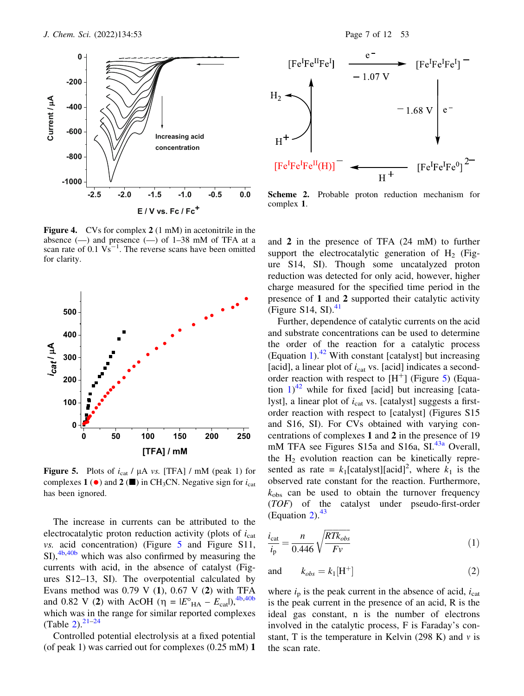

Figure 4. CVs for complex 2 (1 mM) in acetonitrile in the absence  $(-)$  and presence  $(-)$  of 1–38 mM of TFA at a scan rate of  $0.1 \text{ Vs}^{-1}$ . The reverse scans have been omitted for clarity.



Figure 5. Plots of  $i_{cat}$  /  $\mu$ A *vs.* [TFA] / mM (peak 1) for complexes 1 ( $\bullet$ ) and 2 ( $\blacksquare$ ) in CH<sub>3</sub>CN. Negative sign for  $i_{\text{cat}}$ has been ignored.

The increase in currents can be attributed to the electrocatalytic proton reduction activity (plots of  $i_{cat}$ ) vs. acid concentration) (Figure 5 and Figure S11,  $\text{SI}$ ,  $\frac{4b,40b}{2}$  which was also confirmed by measuring the currents with acid, in the absence of catalyst (Figures S12–13, SI). The overpotential calculated by Evans method was  $0.79$  V  $(1)$ ,  $0.67$  V  $(2)$  with TFA and 0.82 V (2) with AcOH ( $\eta = |E^{\circ}_{H A} - E_{cat}|$ ),  $4b,40b$ which was in the range for similar reported complexes (Table  $2^{2^{1-24}}$ 

Controlled potential electrolysis at a fixed potential (of peak 1) was carried out for complexes (0.25 mM) 1



Scheme 2. Probable proton reduction mechanism for complex 1.

and 2 in the presence of TFA (24 mM) to further support the electrocatalytic generation of  $H<sub>2</sub>$  (Figure S14, SI). Though some uncatalyzed proton reduction was detected for only acid, however, higher charge measured for the specified time period in the presence of 1 and 2 supported their catalytic activity (Figure S14, SI). $41$ 

Further, dependence of catalytic currents on the acid and substrate concentrations can be used to determine the order of the reaction for a catalytic process (Equation 1).<sup>42</sup> With constant [catalyst] but increasing [acid], a linear plot of  $i_{cat}$  vs. [acid] indicates a secondorder reaction with respect to  $[H^+]$  (Figure 5) (Equation  $1)^{42}$  while for fixed [acid] but increasing [catalyst], a linear plot of  $i_{cat}$  vs. [catalyst] suggests a firstorder reaction with respect to [catalyst] (Figures S15 and S16, SI). For CVs obtained with varying concentrations of complexes 1 and 2 in the presence of 19 mM TFA see Figures  $S15a$  and  $S16a$ ,  $SI^{43a}$  Overall, the  $H_2$  evolution reaction can be kinetically represented as rate =  $k_1$ [catalyst][acid]<sup>2</sup>, where  $k_1$  is the observed rate constant for the reaction. Furthermore,  $k_{\text{obs}}$  can be used to obtain the turnover frequency (TOF) of the catalyst under pseudo-first-order (Equation 2). $43$ 

$$
\frac{i_{\text{cat}}}{i_{\text{p}}} = \frac{n}{0.446} \sqrt{\frac{RTk_{obs}}{Fv}}
$$
(1)

and 
$$
k_{obs} = k_1 [\text{H}^+]
$$
 (2)

where  $i<sub>p</sub>$  is the peak current in the absence of acid,  $i<sub>cat</sub>$ is the peak current in the presence of an acid, R is the ideal gas constant, n is the number of electrons involved in the catalytic process, F is Faraday's constant, T is the temperature in Kelvin (298 K) and  $\nu$  is the scan rate.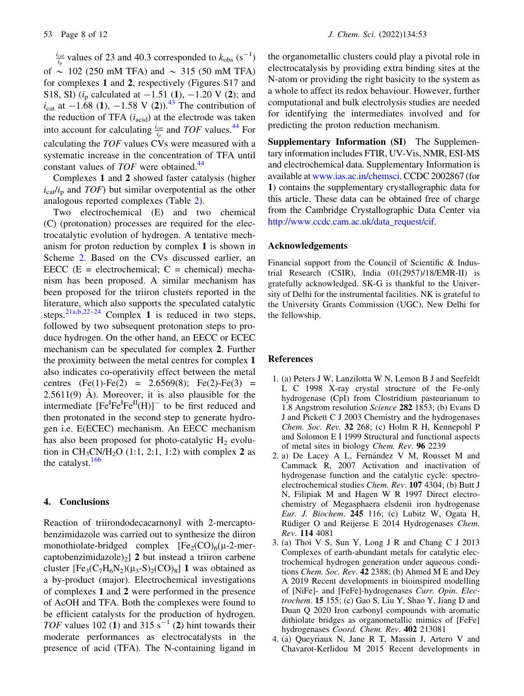$\frac{i_{cat}}{i_p}$  values of 23 and 40.3 corresponded to  $k_{obs}$  (s<sup>-1</sup>) of  $\sim$  102 (250 mM TFA) and  $\sim$  315 (50 mM TFA) for complexes 1 and 2, respectively (Figures S17 and S18, SI) ( $i_p$  calculated at  $-1.51$  (1),  $-1.20$  V (2); and  $i_{\text{cat}}$  at  $-1.68$  (1),  $-1.58$  V (2)).<sup>43</sup> The contribution of the reduction of TFA  $(i_{\text{acid}})$  at the electrode was taken into account for calculating  $\frac{i_{cat}}{i_p}$  and TOF values.<sup>44</sup> For calculating the TOF values CVs were measured with a systematic increase in the concentration of TFA until constant values of TOF were obtained.<sup>44</sup>

Complexes 1 and 2 showed faster catalysis (higher  $i_{\text{cat}}/i_{\text{p}}$  and  $TOF$ ) but similar overpotential as the other analogous reported complexes (Table 2).

Two electrochemical (E) and two chemical (C) (protonation) processes are required for the electrocatalytic evolution of hydrogen. A tentative mechanism for proton reduction by complex 1 is shown in Scheme 2. Based on the CVs discussed earlier, an EECC  $(E = \text{electrochemical}; C = \text{chemical})$  mechanism has been proposed. A similar mechanism has been proposed for the triiron clusters reported in the literature, which also supports the speculated catalytic steps.<sup>21a,b,22–24</sup> Complex 1 is reduced in two steps, followed by two subsequent protonation steps to produce hydrogen. On the other hand, an EECC or ECEC mechanism can be speculated for complex 2. Further the proximity between the metal centres for complex 1 also indicates co-operativity effect between the metal centres  $(Fe(1)-Fe(2) = 2.6569(8); Fe(2)-Fe(3) =$  $2.5611(9)$  Å). Moreover, it is also plausible for the intermediate  $[Fe^I\bar{Fe}^I\bar{Fe}^II(H)]$  to be first reduced and then protonated in the second step to generate hydrogen i.e. E(ECEC) mechanism. An EECC mechanism has also been proposed for photo-catalytic  $H_2$  evolution in  $CH_3CN/H_2O$  (1:1, 2:1, 1:2) with complex 2 as the catalyst. $16b$ 

## 4. Conclusions

Reaction of triirondodecacarnonyl with 2-mercaptobenzimidazole was carried out to synthesize the diiron monothiolate-bridged complex  $[Fe<sub>2</sub>(CO)<sub>6</sub>(\mu-2-mer$ captobenzimidazole)<sub>2</sub>] 2 but instead a triiron carbene cluster  $[Fe_3(C_7H_6N_2)(\mu_3-S)_2(CO)_8]$  1 was obtained as a by-product (major). Electrochemical investigations of complexes 1 and 2 were performed in the presence of AcOH and TFA. Both the complexes were found to be efficient catalysts for the production of hydrogen. TOF values 102 (1) and 315  $s^{-1}$  (2) hint towards their moderate performances as electrocatalysts in the presence of acid (TFA). The N-containing ligand in the organometallic clusters could play a pivotal role in electrocatalysis by providing extra binding sites at the N-atom or providing the right basicity to the system as a whole to affect its redox behaviour. However, further computational and bulk electrolysis studies are needed for identifying the intermediates involved and for predicting the proton reduction mechanism.

Supplementary Information (SI) The Supplementary information includes FTIR, UV-Vis, NMR, ESI-MS and electrochemical data. Supplementary Information is available at www.ias.ac.in/chemsci. CCDC 2002867 (for 1) contains the supplementary crystallographic data for this article. These data can be obtained free of charge from the Cambridge Crystallographic Data Center via http://www.ccdc.cam.ac.uk/data\_request/cif.

#### Acknowledgements

Financial support from the Council of Scientific & Industrial Research (CSIR), India (01(2957)/18/EMR-II) is gratefully acknowledged. SK-G is thankful to the University of Delhi for the instrumental facilities. NK is grateful to the University Grants Commission (UGC), New Delhi for the fellowship.

## References

- 1. (a) Peters J W, Lanzilotta W N, Lemon B J and Seefeldt L C 1998 X-ray crystal structure of the Fe-only hydrogenase (CpI) from Clostridium pasteurianum to 1.8 Angstrom resolution Science 282 1853; (b) Evans D J and Pickett C J 2003 Chemistry and the hydrogenases Chem. Soc. Rev. 32 268; (c) Holm R H, Kennepohl P and Solomon E I 1999 Structural and functional aspects of metal sites in biology Chem. Rev. 96 2239
- 2. a) De Lacey A L, Fernández V M, Rousset M and Cammack R, 2007 Activation and inactivation of hydrogenase function and the catalytic cycle: spectroelectrochemical studies Chem. Rev. 107 4304; (b) Butt J N, Filipiak M and Hagen W R 1997 Direct electrochemistry of Megasphaera elsdenii iron hydrogenase Eur. J. Biochem. 245 116; (c) Lubitz W, Ogata H, Rüdiger O and Reijerse E 2014 Hydrogenases Chem. Rev. 114 4081
- 3. (a) Thoi V S, Sun Y, Long J R and Chang C J 2013 Complexes of earth-abundant metals for catalytic electrochemical hydrogen generation under aqueous conditions Chem. Soc. Rev. 42 2388; (b) Ahmed M E and Dey A 2019 Recent developments in bioinspired modelling of [NiFe]- and [FeFe]-hydrogenases Curr. Opin. Electrochem. 15 155; (c) Gao S, Liu Y, Shao Y, Jiang D and Duan Q 2020 Iron carbonyl compounds with aromatic dithiolate bridges as organometallic mimics of [FeFe] hydrogenases Coord. Chem. Rev. 402 213081
- 4. (a) Queyriaux N, Jane R T, Massin J, Artero V and Chavarot-Kerlidou M 2015 Recent developments in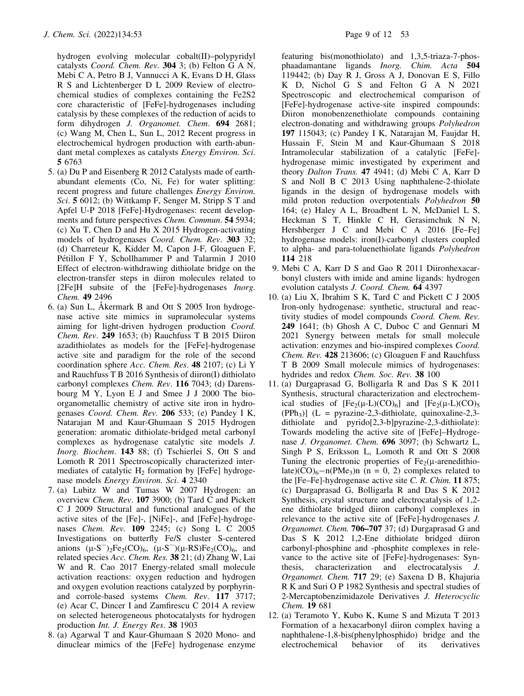hydrogen evolving molecular cobalt(II)–polypyridyl catalysts Coord. Chem. Rev. 304 3; (b) Felton G A N, Mebi C A, Petro B J, Vannucci A K, Evans D H, Glass R S and Lichtenberger D L 2009 Review of electrochemical studies of complexes containing the Fe2S2 core characteristic of [FeFe]-hydrogenases including catalysis by these complexes of the reduction of acids to form dihydrogen J. Organomet. Chem. 694 2681; (c) Wang M, Chen L, Sun L, 2012 Recent progress in electrochemical hydrogen production with earth-abundant metal complexes as catalysts Energy Environ. Sci. 5 6763

- 5. (a) Du P and Eisenberg R 2012 Catalysts made of earthabundant elements (Co, Ni, Fe) for water splitting: recent progress and future challenges Energy Environ. Sci. 5 6012; (b) Wittkamp F, Senger M, Stripp S T and Apfel U-P 2018 [FeFe]-Hydrogenases: recent developments and future perspectives Chem. Commun. 54 5934; (c) Xu T, Chen D and Hu X 2015 Hydrogen-activating models of hydrogenases Coord. Chem. Rev. 303 32; (d) Charreteur K, Kidder M, Capon J-F, Gloaguen F, Pétillon F Y, Schollhammer P and Talarmin J 2010 Effect of electron-withdrawing dithiolate bridge on the electron-transfer steps in diiron molecules related to [2Fe]H subsite of the [FeFe]-hydrogenases Inorg. Chem. 49 2496
- 6. (a) Sun L, A $\kappa$  kermark B and Ott S 2005 Iron hydrogenase active site mimics in supramolecular systems aiming for light-driven hydrogen production Coord. Chem. Rev. 249 1653; (b) Rauchfuss T B 2015 Diiron azadithiolates as models for the [FeFe]-hydrogenase active site and paradigm for the role of the second coordination sphere Acc. Chem. Res. 48 2107; (c) Li Y and Rauchfuss T B 2016 Synthesis of diiron(I) dithiolato carbonyl complexes Chem. Rev. 116 7043; (d) Darensbourg M Y, Lyon E J and Smee J J 2000 The bioorganometallic chemistry of active site iron in hydrogenases Coord. Chem. Rev. 206 533; (e) Pandey I K, Natarajan M and Kaur-Ghumaan S 2015 Hydrogen generation: aromatic dithiolate-bridged metal carbonyl complexes as hydrogenase catalytic site models J. Inorg. Biochem. 143 88; (f) Tschierlei S, Ott S and Lomoth R 2011 Spectroscopically characterized intermediates of catalytic  $H_2$  formation by [FeFe] hydrogenase models Energy Environ. Sci. 4 2340
- 7. (a) Lubitz W and Tumas W 2007 Hydrogen: an overview Chem. Rev. 107 3900; (b) Tard C and Pickett C J 2009 Structural and functional analogues of the active sites of the [Fe]-, [NiFe]-, and [FeFe]-hydrogenases Chem. Rev. 109 2245; (c) Song L C 2005 Investigations on butterfly Fe/S cluster S-centered anions  $(\mu-S^-)_{2}Fe_2(CO)_{6}$ ,  $(\mu-S^-) (\mu-RS)Fe_2(CO)_{6}$ , and related species Acc. Chem. Res. 38 21; (d) Zhang W, Lai W and R. Cao 2017 Energy-related small molecule activation reactions: oxygen reduction and hydrogen and oxygen evolution reactions catalyzed by porphyrinand corrole-based systems Chem. Rev. 117 3717; (e) Acar C, Dincer I and Zamfirescu C 2014 A review on selected heterogeneous photocatalysts for hydrogen production Int. J. Energy Res. 38 1903
- 8. (a) Agarwal T and Kaur-Ghumaan S 2020 Mono- and dinuclear mimics of the [FeFe] hydrogenase enzyme

featuring bis(monothiolato) and 1,3,5-triaza-7-phosphaadamantane ligands Inorg. Chim. Acta 504 119442; (b) Day R J, Gross A J, Donovan E S, Fillo K D, Nichol G S and Felton G A N 2021 Spectroscopic and electrochemical comparison of [FeFe]-hydrogenase active-site inspired compounds: Diiron monobenzenethiolate compounds containing electron-donating and withdrawing groups Polyhedron 197 115043; (c) Pandey I K, Natarajan M, Faujdar H, Hussain F, Stein M and Kaur-Ghumaan S 2018 Intramolecular stabilization of a catalytic [FeFe] hydrogenase mimic investigated by experiment and theory Dalton Trans. 47 4941; (d) Mebi C A, Karr D S and Noll B C 2013 Using naphthalene-2-thiolate ligands in the design of hydrogenase models with mild proton reduction overpotentials Polyhedron 50 164; (e) Haley A L, Broadbent L N, McDaniel L S, Heckman S T, Hinkle C H, Gerasimchuk N N, Hershberger J C and Mebi C A 2016 [Fe–Fe] hydrogenase models: iron(I)-carbonyl clusters coupled to alpha- and para-toluenethiolate ligands Polyhedron 114 218

- 9. Mebi C A, Karr D S and Gao R 2011 Diironhexacarbonyl clusters with imide and amine ligands: hydrogen evolution catalysts J. Coord. Chem. 64 4397
- 10. (a) Liu X, Ibrahim S K, Tard C and Pickett C J 2005 Iron-only hydrogenase: synthetic, structural and reactivity studies of model compounds Coord. Chem. Rev. 249 1641; (b) Ghosh A C, Duboc C and Gennari M 2021 Synergy between metals for small molecule activation: enzymes and bio-inspired complexes Coord. Chem. Rev. 428 213606; (c) Gloaguen F and Rauchfuss T B 2009 Small molecule mimics of hydrogenases: hydrides and redox Chem. Soc. Rev. 38 100
- 11. (a) Durgaprasad G, Bolligarla R and Das S K 2011 Synthesis, structural characterization and electrochemical studies of  $[Fe_2(\mu-L)(CO)_6]$  and  $[Fe_2(\mu-L)(CO)_5]$  $(PPh_3)$ ] (L = pyrazine-2,3-dithiolate, quinoxaline-2,3dithiolate and pyrido[2,3-b]pyrazine-2,3-dithiolate): Towards modeling the active site of [FeFe]–Hydrogenase J. Organomet. Chem. 696 3097; (b) Schwartz L, Singh P S, Eriksson L, Lomoth R and Ott S 2008 Tuning the electronic properties of  $Fe<sub>2</sub>(\mu$ -arenedithiolate)(CO)<sub>6</sub>-n(PMe<sub>3</sub>)n (n = 0, 2) complexes related to the [Fe–Fe]-hydrogenase active site C. R. Chim. 11 875; (c) Durgaprasad G, Bolligarla R and Das S K 2012 Synthesis, crystal structure and electrocatalysis of 1,2 ene dithiolate bridged diiron carbonyl complexes in relevance to the active site of [FeFe]-hydrogenases J. Organomet. Chem. 706–707 37; (d) Durgaprasad G and Das S K 2012 1,2-Ene dithiolate bridged diiron carbonyl-phosphine and -phosphite complexes in relevance to the active site of [FeFe]-hydrogenases: Synthesis, characterization and electrocatalysis J. Organomet. Chem. 717 29; (e) Saxena D B, Khajuria R K and Suri O P 1982 Synthesis and spectral studies of 2-Mercaptobenzimidazole Derivatives J. Heterocyclic Chem. 19 681
- 12. (a) Teramoto Y, Kubo K, Kume S and Mizuta T 2013 Formation of a hexacarbonyl diiron complex having a naphthalene-1,8-bis(phenylphosphido) bridge and the electrochemical behavior of its derivatives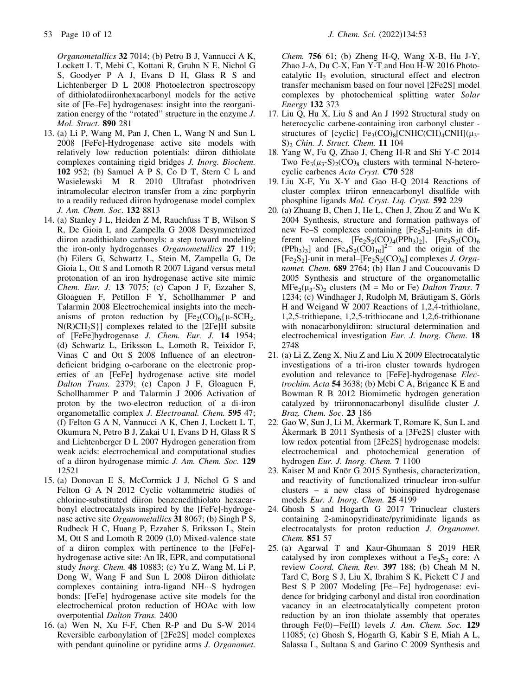Organometallics 32 7014; (b) Petro B J, Vannucci A K, Lockett L T, Mebi C, Kottani R, Gruhn N E, Nichol G S, Goodyer P A J, Evans D H, Glass R S and Lichtenberger D L 2008 Photoelectron spectroscopy of dithiolatodiironhexacarbonyl models for the active site of [Fe–Fe] hydrogenases: insight into the reorganization energy of the ''rotated'' structure in the enzyme J. Mol. Struct. 890 281

- 13. (a) Li P, Wang M, Pan J, Chen L, Wang N and Sun L 2008 [FeFe]-Hydrogenase active site models with relatively low reduction potentials: diiron dithiolate complexes containing rigid bridges J. Inorg. Biochem. 102 952; (b) Samuel A P S, Co D T, Stern C L and Wasielewski M R 2010 Ultrafast photodriven intramolecular electron transfer from a zinc porphyrin to a readily reduced diiron hydrogenase model complex J. Am. Chem. Soc. 132 8813
- 14. (a) Stanley J L, Heiden Z M, Rauchfuss T B, Wilson S R, De Gioia L and Zampella G 2008 Desymmetrized diiron azadithiolato carbonyls: a step toward modeling the iron-only hydrogenases Organometallics 27 119; (b) Eilers G, Schwartz L, Stein M, Zampella G, De Gioia L, Ott S and Lomoth R 2007 Ligand versus metal protonation of an iron hydrogenase active site mimic Chem. Eur. J. 13 7075; (c) Capon J F, Ezzaher S, Gloaguen F, Petillon F Y, Schollhammer P and Talarmin 2008 Electrochemical insights into the mechanisms of proton reduction by  $[Fe_2(CO)_6]\mu\text{-}SCH_2$ .  $N(R)CH_2S$ ] complexes related to the [2Fe]H subsite of [FeFe]hydrogenase J. Chem. Eur. J. 14 1954; (d) Schwartz L, Eriksson L, Lomoth R, Teixidor F, Vinas C and Ott S 2008 Influence of an electrondeficient bridging o-carborane on the electronic properties of an [FeFe] hydrogenase active site model Dalton Trans. 2379; (e) Capon J F, Gloaguen F, Schollhammer P and Talarmin J 2006 Activation of proton by the two-electron reduction of a di-iron organometallic complex J. Electroanal. Chem. 595 47; (f) Felton G A N, Vannucci A K, Chen J, Lockett L T, Okumura N, Petro B J, Zakai U I, Evans D H, Glass R S and Lichtenberger D L 2007 Hydrogen generation from weak acids: electrochemical and computational studies of a diiron hydrogenase mimic J. Am. Chem. Soc. 129 12521
- 15. (a) Donovan E S, McCormick J J, Nichol G S and Felton G A N 2012 Cyclic voltammetric studies of chlorine-substituted diiron benzenedithiolato hexacarbonyl electrocatalysts inspired by the [FeFe]-hydrogenase active site *Organometallics* 31 8067; (b) Singh P S, Rudbeck H C, Huang P, Ezzaher S, Eriksson L, Stein M, Ott S and Lomoth R 2009 (I,0) Mixed-valence state of a diiron complex with pertinence to the [FeFe] hydrogenase active site: An IR, EPR, and computational study Inorg. Chem. 48 10883; (c) Yu Z, Wang M, Li P, Dong W, Wang F and Sun L 2008 Diiron dithiolate  $complexes$  containing intra-ligand  $NH \cdots S$  hydrogen bonds: [FeFe] hydrogenase active site models for the electrochemical proton reduction of HOAc with low overpotential Dalton Trans. 2400
- 16. (a) Wen N, Xu F-F, Chen R-P and Du S-W 2014 Reversible carbonylation of [2Fe2S] model complexes with pendant quinoline or pyridine arms *J. Organomet*.

Chem. 756 61; (b) Zheng H-Q, Wang X-B, Hu J-Y, Zhao J-A, Du C-X, Fan Y-T and Hou H-W 2016 Photocatalytic  $H_2$  evolution, structural effect and electron transfer mechanism based on four novel [2Fe2S] model complexes by photochemical splitting water Solar Energy 132 373

- 17. Liu Q, Hu X, Liu S and An J 1992 Structural study on heterocyclic carbene-containing iron carbonyl cluster structures of [cyclic]  $Fe_3(CO)_8[CNHC(CH)_4CNH](\mu_3 S_2$  Chin. J. Struct. Chem. 11 104
- 18. Yang W, Fu Q, Zhao J, Cheng H-R and Shi Y-C 2014 Two Fe<sub>3</sub>( $\mu$ <sub>3</sub>-S)<sub>2</sub>(CO)<sub>8</sub> clusters with terminal N-heterocyclic carbenes Acta Cryst. C70 528
- 19. Liu X-F, Yu X-Y and Gao H-Q 2014 Reactions of cluster complex triiron enneacarbonyl disulfide with phosphine ligands Mol. Cryst. Liq. Cryst. 592 229
- 20. (a) Zhuang B, Chen J, He L, Chen J, Zhou Z and Wu K 2004 Synthesis, structure and formation pathways of new Fe–S complexes containing  $[Fe<sub>2</sub>S<sub>2</sub>]$ -units in different valences,  $[Fe<sub>2</sub>S<sub>2</sub>(CO)<sub>4</sub>(PPh<sub>3</sub>)<sub>2</sub>]$ ,  $[Fe<sub>3</sub>S<sub>2</sub>(CO)<sub>6</sub>$  $(PPh<sub>3</sub>)<sub>3</sub>$ ] and  $[Fe<sub>4</sub>S<sub>2</sub>(CO)<sub>10</sub>]<sup>2–</sup>$  and the origin of the  $[Fe<sub>2</sub>S<sub>2</sub>]$ -unit in metal– $[Fe<sub>2</sub>S<sub>2</sub>(CO)<sub>6</sub>]$  complexes *J. Orga*nomet. Chem. 689 2764; (b) Han J and Coucouvanis D 2005 Synthesis and structure of the organometallic  $MFe<sub>2</sub>(\mu_{3}-S)$ <sub>2</sub> clusters (M = Mo or Fe) Dalton Trans. 7 1234; (c) Windhager J, Rudolph M, Bräutigam S, Görls H and Weigand W 2007 Reactions of 1,2,4-trithiolane, 1,2,5-trithiepane, 1,2,5-trithiocane and 1,2,6-trithionane with nonacarbonyldiiron: structural determination and electrochemical investigation Eur. J. Inorg. Chem. 18 2748
- 21. (a) Li Z, Zeng X, Niu Z and Liu X 2009 Electrocatalytic investigations of a tri-iron cluster towards hydrogen evolution and relevance to [FeFe]-hydrogenase Electrochim. Acta 54 3638; (b) Mebi C A, Brigance K E and Bowman R B 2012 Biomimetic hydrogen generation catalyzed by triironnonacarbonyl disulfide cluster J. Braz. Chem. Soc. 23 186
- 22. Gao W, Sun J, Li M, Åkermark T, Romare K, Sun L and Å kermark B  $2011$  Synthesis of a [3Fe2S] cluster with low redox potential from [2Fe2S] hydrogenase models: electrochemical and photochemical generation of hydrogen Eur. J. Inorg. Chem. 7 1100
- 23. Kaiser M and Knör G 2015 Synthesis, characterization, and reactivity of functionalized trinuclear iron-sulfur clusters – a new class of bioinspired hydrogenase models Eur. J. Inorg. Chem. 25 4199
- 24. Ghosh S and Hogarth G 2017 Trinuclear clusters containing 2-aminopyridinate/pyrimidinate ligands as electrocatalysts for proton reduction J. Organomet. Chem. 851 57
- 25. (a) Agarwal T and Kaur-Ghumaan S 2019 HER catalysed by iron complexes without a  $Fe<sub>2</sub>S<sub>2</sub>$  core: A review Coord. Chem. Rev. 397 188; (b) Cheah M N, Tard C, Borg S J, Liu X, Ibrahim S K, Pickett C J and Best S P 2007 Modeling [Fe-Fe] hydrogenase: evidence for bridging carbonyl and distal iron coordination vacancy in an electrocatalytically competent proton reduction by an iron thiolate assembly that operates through  $Fe(0)$ -Fe(II) levels *J. Am. Chem. Soc.* 129 11085; (c) Ghosh S, Hogarth G, Kabir S E, Miah A L, Salassa L, Sultana S and Garino C 2009 Synthesis and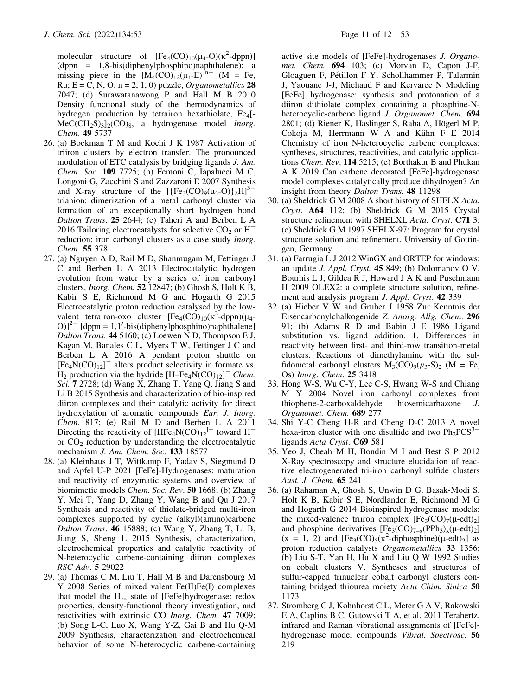molecular structure of  $[Fe_4(CO)_{10}(\mu_4-O)(\kappa^2-dppn)]$ <br>(dppn = 1.8-bis(diphenylphosphino)naphthalene); a (dppn = 1,8-bis(diphenylphosphino)naphthalene): a missing piece in the  $[M_4(CO)_{12}(\mu_4-E)]^{n-}$  (M = Fe, Ru;  $E = C$ , N, O;  $n = 2, 1, 0$ ) puzzle, *Organometallics* 28 7047; (d) Surawatanawong P and Hall M B 2010 Density functional study of the thermodynamics of hydrogen production by tetrairon hexathiolate, Fe<sub>4</sub>[- $MeC(CH_2S)_3]_2(CO)_8$ , a hydrogenase model *Inorg*. Chem. 49 5737

- 26. (a) Bockman T M and Kochi J K 1987 Activation of triiron clusters by electron transfer. The pronounced modulation of ETC catalysis by bridging ligands J. Am. Chem. Soc. 109 7725; (b) Femoni C, Iapalucci M C, Longoni G, Zacchini S and Zazzaroni E 2007 Synthesis and X-ray structure of the  $[{Fe_3(CO)_9(\mu_3-O)}_2H]^{3-}$ trianion: dimerization of a metal carbonyl cluster via formation of an exceptionally short hydrogen bond Dalton Trans. 25 2644; (c) Taheri A and Berben L A 2016 Tailoring electrocatalysts for selective  $CO<sub>2</sub>$  or  $H<sup>+</sup>$ reduction: iron carbonyl clusters as a case study *Inorg*. Chem. 55 378
- 27. (a) Nguyen A D, Rail M D, Shanmugam M, Fettinger J C and Berben L A 2013 Electrocatalytic hydrogen evolution from water by a series of iron carbonyl clusters, Inorg. Chem. 52 12847; (b) Ghosh S, Holt K B, Kabir S E, Richmond M G and Hogarth G 2015 Electrocatalytic proton reduction catalysed by the lowvalent tetrairon-oxo cluster  $[Fe_4(CO)_{10}(\kappa^2-dppn)(\mu_4-O)]^2$  [dppn = 1 1'-bis(diphenylphosphino)naphthalenel  $\text{O}$ )]<sup>2-</sup> [dppn = 1,1'-bis(diphenylphosphino)naphthalene] Dalton Trans. 44 5160; (c) Loewen N D, Thompson E J, Kagan M, Banales C L, Myers T W, Fettinger J C and Berben L A 2016 A pendant proton shuttle on  $[Fe<sub>4</sub>N(CO)<sub>12</sub>]$ <sup>-</sup> alters product selectivity in formate vs.  $H_2$  production via the hydride  $[H-Fe_4N(CO)_{12}]^-$  Chem. Sci. 7 2728; (d) Wang X, Zhang T, Yang Q, Jiang S and Li B 2015 Synthesis and characterization of bio-inspired diiron complexes and their catalytic activity for direct hydroxylation of aromatic compounds Eur. J. Inorg. Chem. 817; (e) Rail M D and Berben L A 2011 Directing the reactivity of  $[HFe_4N(CO)_{12}]^-$  toward H<sup>+</sup> or  $CO<sub>2</sub>$  reduction by understanding the electrocatalytic mechanism J. Am. Chem. Soc. 133 18577
- 28. (a) Kleinhaus J T, Wittkamp F, Yadav S, Siegmund D and Apfel U-P 2021 [FeFe]-Hydrogenases: maturation and reactivity of enzymatic systems and overview of biomimetic models Chem. Soc. Rev. 50 1668; (b) Zhang Y, Mei T, Yang D, Zhang Y, Wang B and Qu J 2017 Synthesis and reactivity of thiolate-bridged multi-iron complexes supported by cyclic (alkyl)(amino)carbene Dalton Trans. 46 15888; (c) Wang Y, Zhang T, Li B, Jiang S, Sheng L 2015 Synthesis, characterization, electrochemical properties and catalytic reactivity of N-heterocyclic carbene-containing diiron complexes RSC Adv. 5 29022
- 29. (a) Thomas C M, Liu T, Hall M B and Darensbourg M Y 2008 Series of mixed valent Fe(II)Fe(I) complexes that model the  $H_{ox}$  state of [FeFe]hydrogenase: redox properties, density-functional theory investigation, and reactivities with extrinsic CO Inorg. Chem. 47 7009; (b) Song L-C, Luo X, Wang Y-Z, Gai B and Hu Q-M 2009 Synthesis, characterization and electrochemical behavior of some N-heterocyclic carbene-containing

active site models of [FeFe]-hydrogenases J. Organomet. Chem. 694 103; (c) Morvan D, Capon J-F, Gloaguen F, Pétillon F Y, Schollhammer P, Talarmin J, Yaouanc J-J, Michaud F and Kervarec N Modeling [FeFe] hydrogenase: synthesis and protonation of a diiron dithiolate complex containing a phosphine-Nheterocyclic-carbene ligand J. Organomet. Chem. 694 2801; (d) Riener K, Haslinger S, Raba A, Högerl M P, Cokoja M, Herrmann W A and Kühn F E 2014 Chemistry of iron N-heterocyclic carbene complexes: syntheses, structures, reactivities, and catalytic applications Chem. Rev. 114 5215; (e) Borthakur B and Phukan A K 2019 Can carbene decorated [FeFe]-hydrogenase model complexes catalytically produce dihydrogen? An insight from theory Dalton Trans. 48 11298

- 30. (a) Sheldrick G M 2008 A short history of SHELX Acta. Cryst. A64 112; (b) Sheldrick G M 2015 Crystal structure refinement with SHELXL Acta. Cryst. C71 3; (c) Sheldrick G M 1997 SHELX-97: Program for crystal structure solution and refinement. University of Gottingen, Germany
- 31. (a) Farrugia L J 2012 WinGX and ORTEP for windows: an update J. Appl. Cryst. 45 849; (b) Dolomanov O V, Bourhis L J, Gildea R J, Howard J A K and Puschmann H 2009 OLEX2: a complete structure solution, refinement and analysis program J. Appl. Cryst. 42 339
- 32. (a) Hieber V W and Gruber J 1958 Zur Kenntnis der Eisencarbonylchalkogenide Z. Anorg. Allg. Chem. 296 91; (b) Adams R D and Babin J E 1986 Ligand substitution vs. ligand addition. 1. Differences in reactivity between first- and third-row transition-metal clusters. Reactions of dimethylamine with the sulfidometal carbonyl clusters  $M_3(CO)_9(\mu_3-S)_2$  (M = Fe, Os) Inorg. Chem. 25 3418
- 33. Hong W-S, Wu C-Y, Lee C-S, Hwang W-S and Chiang M Y 2004 Novel iron carbonyl complexes from thiophene-2-carboxaldehyde thiosemicarbazone J. Organomet. Chem. 689 277
- 34. Shi Y-C Cheng H-R and Cheng D-C 2013 A novel hexa-iron cluster with one disulfide and two  $Ph_2PCS^3$ ligands Acta Cryst. C69 581
- 35. Yeo J, Cheah M H, Bondin M I and Best S P 2012 X-Ray spectroscopy and structure elucidation of reactive electrogenerated tri-iron carbonyl sulfide clusters Aust. J. Chem. 65 241
- 36. (a) Rahaman A, Ghosh S, Unwin D G, Basak-Modi S, Holt K B, Kabir S E, Nordlander E, Richmond M G and Hogarth G 2014 Bioinspired hydrogenase models: the mixed-valence triiron complex  $[Fe<sub>3</sub>(CO)<sub>7</sub>(\mu-edt)<sub>2</sub>]$ and phosphine derivatives  $[Fe<sub>3</sub>(CO)<sub>7-x</sub>(PPh<sub>3</sub>)<sub>x</sub>(\mu-edt)<sub>2</sub>]$  $(x = 1, 2)$  and  $[Fe<sub>3</sub>(CO)<sub>5</sub>(\kappa^2-diphosphine)(\mu-edt)<sub>2</sub>]$  as<br>proton reduction catalysts *Organometallics* 33 1356 proton reduction catalysts Organometallics 33 1356; (b) Liu S-T, Yan H, Hu X and Liu Q W 1992 Studies on cobalt clusters V. Syntheses and structures of sulfur-capped trinuclear cobalt carbonyl clusters containing bridged thiourea moiety Acta Chim. Sinica 50 1173
- 37. Stromberg C J, Kohnhorst C L, Meter G A V, Rakowski E A, Caplins B C, Gutowski T A, et al. 2011 Terahertz, infrared and Raman vibrational assignments of [FeFe] hydrogenase model compounds Vibrat. Spectrosc. 56 219